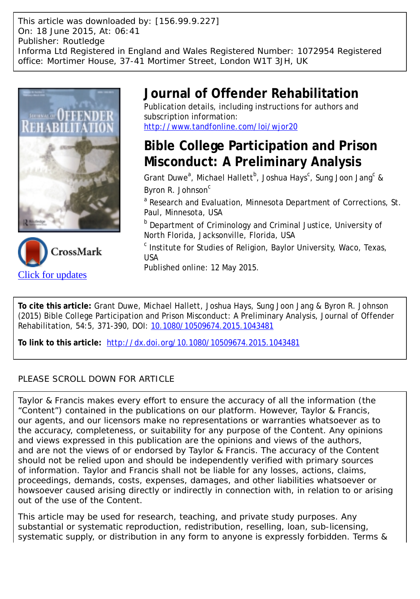This article was downloaded by: [156.99.9.227] On: 18 June 2015, At: 06:41 Publisher: Routledge Informa Ltd Registered in England and Wales Registered Number: 1072954 Registered office: Mortimer House, 37-41 Mortimer Street, London W1T 3JH, UK





## **Journal of Offender Rehabilitation**

Publication details, including instructions for authors and subscription information: <http://www.tandfonline.com/loi/wjor20>

# **Bible College Participation and Prison Misconduct: A Preliminary Analysis**

Grant Duwe<sup>a</sup>, Michael Hallett<sup>b</sup>, Joshua Hays<sup>c</sup>, Sung Joon Jang<sup>c</sup> & Byron R. Johnson<sup>c</sup>

<sup>a</sup> Research and Evaluation, Minnesota Department of Corrections, St. Paul, Minnesota, USA

**b** Department of Criminology and Criminal Justice, University of North Florida, Jacksonville, Florida, USA

<sup>c</sup> Institute for Studies of Religion, Baylor University, Waco, Texas, USA

Published online: 12 May 2015.

**To cite this article:** Grant Duwe, Michael Hallett, Joshua Hays, Sung Joon Jang & Byron R. Johnson (2015) Bible College Participation and Prison Misconduct: A Preliminary Analysis, Journal of Offender Rehabilitation, 54:5, 371-390, DOI: [10.1080/10509674.2015.1043481](http://www.tandfonline.com/action/showCitFormats?doi=10.1080/10509674.2015.1043481)

**To link to this article:** <http://dx.doi.org/10.1080/10509674.2015.1043481>

### PLEASE SCROLL DOWN FOR ARTICLE

Taylor & Francis makes every effort to ensure the accuracy of all the information (the "Content") contained in the publications on our platform. However, Taylor & Francis, our agents, and our licensors make no representations or warranties whatsoever as to the accuracy, completeness, or suitability for any purpose of the Content. Any opinions and views expressed in this publication are the opinions and views of the authors, and are not the views of or endorsed by Taylor & Francis. The accuracy of the Content should not be relied upon and should be independently verified with primary sources of information. Taylor and Francis shall not be liable for any losses, actions, claims, proceedings, demands, costs, expenses, damages, and other liabilities whatsoever or howsoever caused arising directly or indirectly in connection with, in relation to or arising out of the use of the Content.

This article may be used for research, teaching, and private study purposes. Any substantial or systematic reproduction, redistribution, reselling, loan, sub-licensing, systematic supply, or distribution in any form to anyone is expressly forbidden. Terms &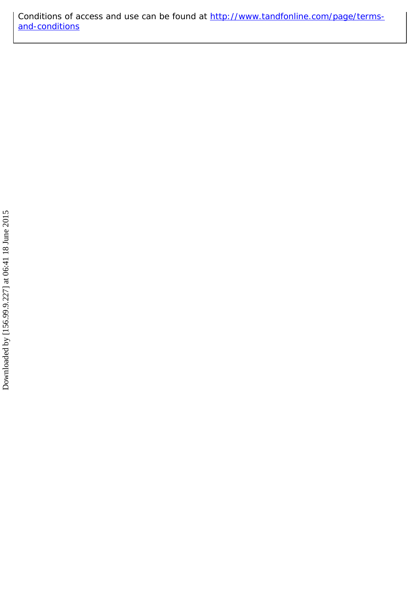Conditions of access and use can be found at [http://www.tandfonline.com/page/terms](http://www.tandfonline.com/page/terms-and-conditions)[and-conditions](http://www.tandfonline.com/page/terms-and-conditions)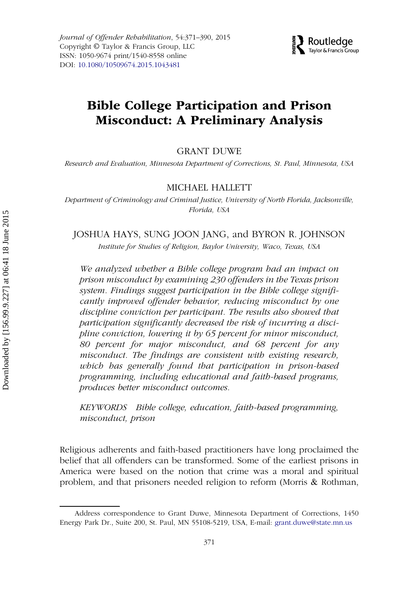

## Bible College Participation and Prison Misconduct: A Preliminary Analysis

#### GRANT DUWE

Research and Evaluation, Minnesota Department of Corrections, St. Paul, Minnesota, USA

#### MICHAEL HALLETT

Department of Criminology and Criminal Justice, University of North Florida, Jacksonville, Florida, USA

JOSHUA HAYS, SUNG JOON JANG, and BYRON R. JOHNSON

Institute for Studies of Religion, Baylor University, Waco, Texas, USA

We analyzed whether a Bible college program had an impact on prison misconduct by examining 230 offenders in the Texas prison system. Findings suggest participation in the Bible college significantly improved offender behavior, reducing misconduct by one discipline conviction per participant. The results also showed that participation significantly decreased the risk of incurring a discipline conviction, lowering it by 65 percent for minor misconduct, 80 percent for major misconduct, and 68 percent for any misconduct. The findings are consistent with existing research, which has generally found that participation in prison-based programming, including educational and faith-based programs, produces better misconduct outcomes.

KEYWORDS Bible college, education, faith-based programming, misconduct, prison

Religious adherents and faith-based practitioners have long proclaimed the belief that all offenders can be transformed. Some of the earliest prisons in America were based on the notion that crime was a moral and spiritual problem, and that prisoners needed religion to reform (Morris & Rothman,

Address correspondence to Grant Duwe, Minnesota Department of Corrections, 1450 Energy Park Dr., Suite 200, St. Paul, MN 55108-5219, USA, E-mail: [grant.duwe@state.mn.us](mailto:grant.duwe@state.mn.us)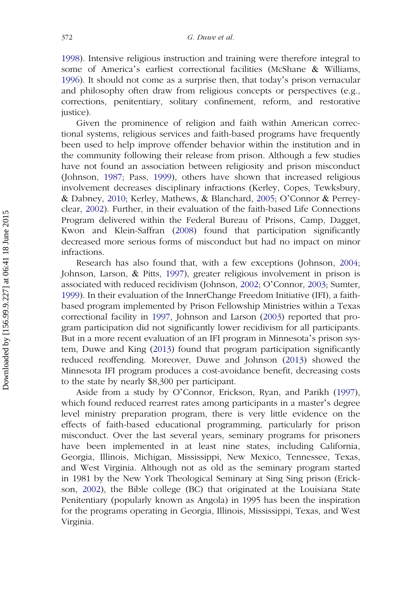[1998](#page-20-0)). Intensive religious instruction and training were therefore integral to some of America's earliest correctional facilities (McShane & Williams, [1996](#page-20-0)). It should not come as a surprise then, that today's prison vernacular and philosophy often draw from religious concepts or perspectives (e.g., corrections, penitentiary, solitary confinement, reform, and restorative justice).

Given the prominence of religion and faith within American correctional systems, religious services and faith-based programs have frequently been used to help improve offender behavior within the institution and in the community following their release from prison. Although a few studies have not found an association between religiosity and prison misconduct (Johnson, [1987](#page-20-0); Pass, [1999](#page-20-0)), others have shown that increased religious involvement decreases disciplinary infractions (Kerley, Copes, Tewksbury, & Dabney, [2010;](#page-20-0) Kerley, Mathews, & Blanchard, [2005](#page-20-0); O'Connor & Perreyclear, [2002](#page-20-0)). Further, in their evaluation of the faith-based Life Connections Program delivered within the Federal Bureau of Prisons, Camp, Dagget, Kwon and Klein-Saffran ([2008](#page-19-0)) found that participation significantly decreased more serious forms of misconduct but had no impact on minor infractions.

Research has also found that, with a few exceptions (Johnson, [2004](#page-20-0); Johnson, Larson, & Pitts, [1997](#page-20-0)), greater religious involvement in prison is associated with reduced recidivism (Johnson, [2002](#page-20-0); O'Connor, [2003;](#page-20-0) Sumter, [1999](#page-21-0)). In their evaluation of the InnerChange Freedom Initiative (IFI), a faithbased program implemented by Prison Fellowship Ministries within a Texas correctional facility in [1997](#page-20-0), Johnson and Larson ([2003](#page-20-0)) reported that program participation did not significantly lower recidivism for all participants. But in a more recent evaluation of an IFI program in Minnesota's prison system, Duwe and King ([2013](#page-19-0)) found that program participation significantly reduced reoffending. Moreover, Duwe and Johnson ([2013](#page-19-0)) showed the Minnesota IFI program produces a cost-avoidance benefit, decreasing costs to the state by nearly \$8,300 per participant.

Aside from a study by O'Connor, Erickson, Ryan, and Parikh ([1997](#page-20-0)), which found reduced rearrest rates among participants in a master's degree level ministry preparation program, there is very little evidence on the effects of faith-based educational programming, particularly for prison misconduct. Over the last several years, seminary programs for prisoners have been implemented in at least nine states, including California, Georgia, Illinois, Michigan, Mississippi, New Mexico, Tennessee, Texas, and West Virginia. Although not as old as the seminary program started in 1981 by the New York Theological Seminary at Sing Sing prison (Erickson, [2002](#page-19-0)), the Bible college (BC) that originated at the Louisiana State Penitentiary (popularly known as Angola) in 1995 has been the inspiration for the programs operating in Georgia, Illinois, Mississippi, Texas, and West Virginia.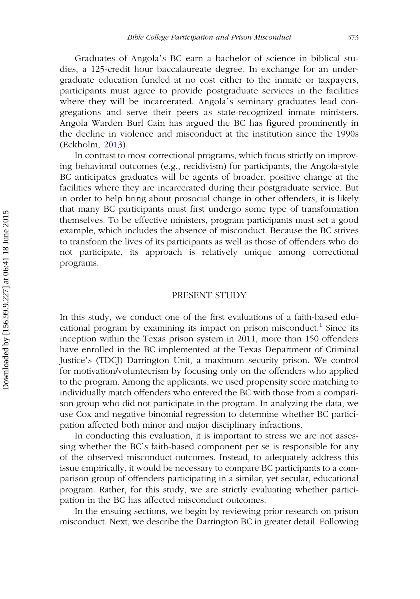Graduates of Angola's BC earn a bachelor of science in biblical studies, a 125-credit hour baccalaureate degree. In exchange for an undergraduate education funded at no cost either to the inmate or taxpayers, participants must agree to provide postgraduate services in the facilities where they will be incarcerated. Angola's seminary graduates lead congregations and serve their peers as state-recognized inmate ministers. Angola Warden Burl Cain has argued the BC has figured prominently in the decline in violence and misconduct at the institution since the 1990s (Eckholm, [2013](#page-19-0)).

In contrast to most correctional programs, which focus strictly on improving behavioral outcomes (e.g., recidivism) for participants, the Angola-style BC anticipates graduates will be agents of broader, positive change at the facilities where they are incarcerated during their postgraduate service. But in order to help bring about prosocial change in other offenders, it is likely that many BC participants must first undergo some type of transformation themselves. To be effective ministers, program participants must set a good example, which includes the absence of misconduct. Because the BC strives to transform the lives of its participants as well as those of offenders who do not participate, its approach is relatively unique among correctional programs.

#### PRESENT STUDY

In this study, we conduct one of the first evaluations of a faith-based educational program by examining its impact on prison misconduct.<sup>1</sup> Since its inception within the Texas prison system in 2011, more than 150 offenders have enrolled in the BC implemented at the Texas Department of Criminal Justice's (TDCJ) Darrington Unit, a maximum security prison. We control for motivation/volunteerism by focusing only on the offenders who applied to the program. Among the applicants, we used propensity score matching to individually match offenders who entered the BC with those from a comparison group who did not participate in the program. In analyzing the data, we use Cox and negative binomial regression to determine whether BC participation affected both minor and major disciplinary infractions.

In conducting this evaluation, it is important to stress we are not assessing whether the BC's faith-based component per se is responsible for any of the observed misconduct outcomes. Instead, to adequately address this issue empirically, it would be necessary to compare BC participants to a comparison group of offenders participating in a similar, yet secular, educational program. Rather, for this study, we are strictly evaluating whether participation in the BC has affected misconduct outcomes.

In the ensuing sections, we begin by reviewing prior research on prison misconduct. Next, we describe the Darrington BC in greater detail. Following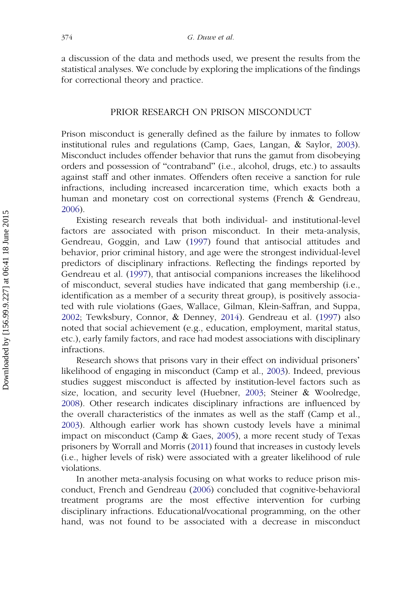a discussion of the data and methods used, we present the results from the statistical analyses. We conclude by exploring the implications of the findings for correctional theory and practice.

#### PRIOR RESEARCH ON PRISON MISCONDUCT

Prison misconduct is generally defined as the failure by inmates to follow institutional rules and regulations (Camp, Gaes, Langan, & Saylor, [2003](#page-19-0)). Misconduct includes offender behavior that runs the gamut from disobeying orders and possession of "contraband" (i.e., alcohol, drugs, etc.) to assaults against staff and other inmates. Offenders often receive a sanction for rule infractions, including increased incarceration time, which exacts both a human and monetary cost on correctional systems (French  $\&$  Gendreau, [2006](#page-19-0)).

Existing research reveals that both individual- and institutional-level factors are associated with prison misconduct. In their meta-analysis, Gendreau, Goggin, and Law ([1997](#page-19-0)) found that antisocial attitudes and behavior, prior criminal history, and age were the strongest individual-level predictors of disciplinary infractions. Reflecting the findings reported by Gendreau et al. ([1997](#page-19-0)), that antisocial companions increases the likelihood of misconduct, several studies have indicated that gang membership (i.e., identification as a member of a security threat group), is positively associated with rule violations (Gaes, Wallace, Gilman, Klein-Saffran, and Suppa, [2002;](#page-19-0) Tewksbury, Connor, & Denney, [2014](#page-21-0)). Gendreau et al. ([1997](#page-19-0)) also noted that social achievement (e.g., education, employment, marital status, etc.), early family factors, and race had modest associations with disciplinary infractions.

Research shows that prisons vary in their effect on individual prisoners' likelihood of engaging in misconduct (Camp et al., [2003](#page-19-0)). Indeed, previous studies suggest misconduct is affected by institution-level factors such as size, location, and security level (Huebner, [2003](#page-20-0); Steiner & Woolredge, [2008](#page-19-0)). Other research indicates disciplinary infractions are influenced by the overall characteristics of the inmates as well as the staff (Camp et al., [2003](#page-19-0)). Although earlier work has shown custody levels have a minimal impact on misconduct (Camp & Gaes, [2005](#page-19-0)), a more recent study of Texas prisoners by Worrall and Morris ([2011](#page-21-0)) found that increases in custody levels (i.e., higher levels of risk) were associated with a greater likelihood of rule violations.

In another meta-analysis focusing on what works to reduce prison misconduct, French and Gendreau ([2006](#page-19-0)) concluded that cognitive-behavioral treatment programs are the most effective intervention for curbing disciplinary infractions. Educational/vocational programming, on the other hand, was not found to be associated with a decrease in misconduct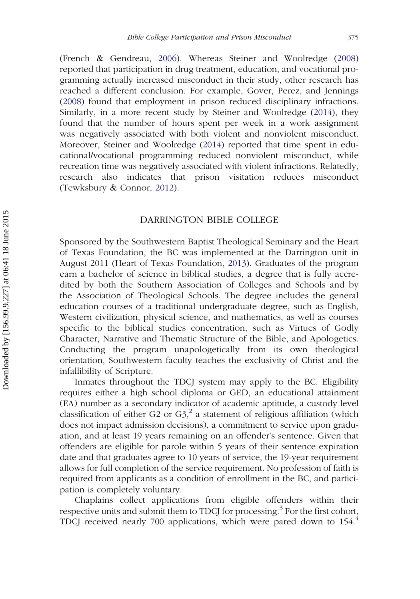(French & Gendreau, [2006](#page-19-0)). Whereas Steiner and Woolredge ([2008](#page-21-0)) reported that participation in drug treatment, education, and vocational programming actually increased misconduct in their study, other research has reached a different conclusion. For example, Gover, Perez, and Jennings ([2008](#page-19-0)) found that employment in prison reduced disciplinary infractions. Similarly, in a more recent study by Steiner and Woolredge ([2014](#page-21-0)), they found that the number of hours spent per week in a work assignment was negatively associated with both violent and nonviolent misconduct. Moreover, Steiner and Woolredge ([2014](#page-21-0)) reported that time spent in educational/vocational programming reduced nonviolent misconduct, while recreation time was negatively associated with violent infractions. Relatedly, research also indicates that prison visitation reduces misconduct (Tewksbury & Connor, [2012](#page-21-0)).

#### DARRINGTON BIBLE COLLEGE

Sponsored by the Southwestern Baptist Theological Seminary and the Heart of Texas Foundation, the BC was implemented at the Darrington unit in August 2011 (Heart of Texas Foundation, [2013](#page-20-0)). Graduates of the program earn a bachelor of science in biblical studies, a degree that is fully accredited by both the Southern Association of Colleges and Schools and by the Association of Theological Schools. The degree includes the general education courses of a traditional undergraduate degree, such as English, Western civilization, physical science, and mathematics, as well as courses specific to the biblical studies concentration, such as Virtues of Godly Character, Narrative and Thematic Structure of the Bible, and Apologetics. Conducting the program unapologetically from its own theological orientation, Southwestern faculty teaches the exclusivity of Christ and the infallibility of Scripture.

Inmates throughout the TDCJ system may apply to the BC. Eligibility requires either a high school diploma or GED, an educational attainment (EA) number as a secondary indicator of academic aptitude, a custody level classification of either G2 or G3,<sup>2</sup> a statement of religious affiliation (which does not impact admission decisions), a commitment to service upon graduation, and at least 19 years remaining on an offender's sentence. Given that offenders are eligible for parole within 5 years of their sentence expiration date and that graduates agree to 10 years of service, the 19-year requirement allows for full completion of the service requirement. No profession of faith is required from applicants as a condition of enrollment in the BC, and participation is completely voluntary.

Chaplains collect applications from eligible offenders within their respective units and submit them to TDCJ for processing. $3$  For the first cohort, TDCJ received nearly 700 applications, which were pared down to  $154<sup>4</sup>$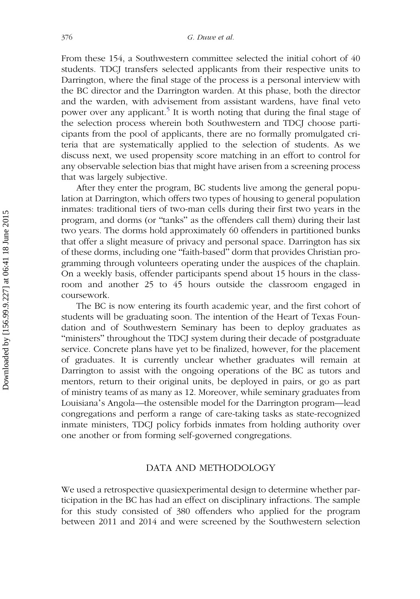From these 154, a Southwestern committee selected the initial cohort of 40 students. TDCJ transfers selected applicants from their respective units to Darrington, where the final stage of the process is a personal interview with the BC director and the Darrington warden. At this phase, both the director and the warden, with advisement from assistant wardens, have final veto power over any applicant.<sup>5</sup> It is worth noting that during the final stage of the selection process wherein both Southwestern and TDCJ choose participants from the pool of applicants, there are no formally promulgated criteria that are systematically applied to the selection of students. As we discuss next, we used propensity score matching in an effort to control for any observable selection bias that might have arisen from a screening process that was largely subjective.

After they enter the program, BC students live among the general population at Darrington, which offers two types of housing to general population inmates: traditional tiers of two-man cells during their first two years in the program, and dorms (or "tanks" as the offenders call them) during their last two years. The dorms hold approximately 60 offenders in partitioned bunks that offer a slight measure of privacy and personal space. Darrington has six of these dorms, including one "faith-based" dorm that provides Christian programming through volunteers operating under the auspices of the chaplain. On a weekly basis, offender participants spend about 15 hours in the classroom and another 25 to 45 hours outside the classroom engaged in coursework.

The BC is now entering its fourth academic year, and the first cohort of students will be graduating soon. The intention of the Heart of Texas Foundation and of Southwestern Seminary has been to deploy graduates as "ministers" throughout the TDCJ system during their decade of postgraduate service. Concrete plans have yet to be finalized, however, for the placement of graduates. It is currently unclear whether graduates will remain at Darrington to assist with the ongoing operations of the BC as tutors and mentors, return to their original units, be deployed in pairs, or go as part of ministry teams of as many as 12. Moreover, while seminary graduates from Louisiana's Angola—the ostensible model for the Darrington program—lead congregations and perform a range of care-taking tasks as state-recognized inmate ministers, TDCJ policy forbids inmates from holding authority over one another or from forming self-governed congregations.

#### DATA AND METHODOLOGY

We used a retrospective quasiexperimental design to determine whether participation in the BC has had an effect on disciplinary infractions. The sample for this study consisted of 380 offenders who applied for the program between 2011 and 2014 and were screened by the Southwestern selection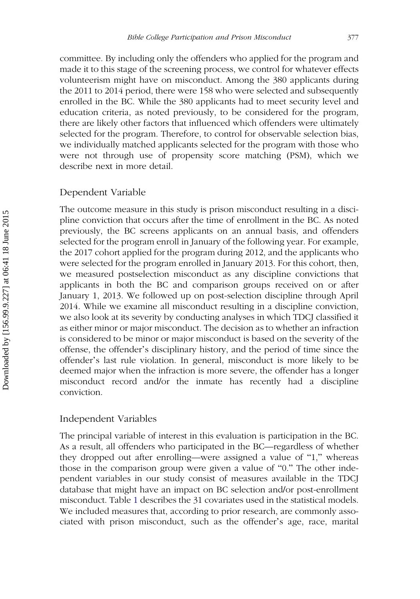committee. By including only the offenders who applied for the program and made it to this stage of the screening process, we control for whatever effects volunteerism might have on misconduct. Among the 380 applicants during the 2011 to 2014 period, there were 158 who were selected and subsequently enrolled in the BC. While the 380 applicants had to meet security level and education criteria, as noted previously, to be considered for the program, there are likely other factors that influenced which offenders were ultimately selected for the program. Therefore, to control for observable selection bias, we individually matched applicants selected for the program with those who were not through use of propensity score matching (PSM), which we describe next in more detail.

#### Dependent Variable

The outcome measure in this study is prison misconduct resulting in a discipline conviction that occurs after the time of enrollment in the BC. As noted previously, the BC screens applicants on an annual basis, and offenders selected for the program enroll in January of the following year. For example, the 2017 cohort applied for the program during 2012, and the applicants who were selected for the program enrolled in January 2013. For this cohort, then, we measured postselection misconduct as any discipline convictions that applicants in both the BC and comparison groups received on or after January 1, 2013. We followed up on post-selection discipline through April 2014. While we examine all misconduct resulting in a discipline conviction, we also look at its severity by conducting analyses in which TDCJ classified it as either minor or major misconduct. The decision as to whether an infraction is considered to be minor or major misconduct is based on the severity of the offense, the offender's disciplinary history, and the period of time since the offender's last rule violation. In general, misconduct is more likely to be deemed major when the infraction is more severe, the offender has a longer misconduct record and/or the inmate has recently had a discipline conviction.

#### Independent Variables

The principal variable of interest in this evaluation is participation in the BC. As a result, all offenders who participated in the BC—regardless of whether they dropped out after enrolling—were assigned a value of "1," whereas those in the comparison group were given a value of "0." The other independent variables in our study consist of measures available in the TDCJ database that might have an impact on BC selection and/or post-enrollment misconduct. Table 1 describes the 31 covariates used in the statistical models. We included measures that, according to prior research, are commonly associated with prison misconduct, such as the offender's age, race, marital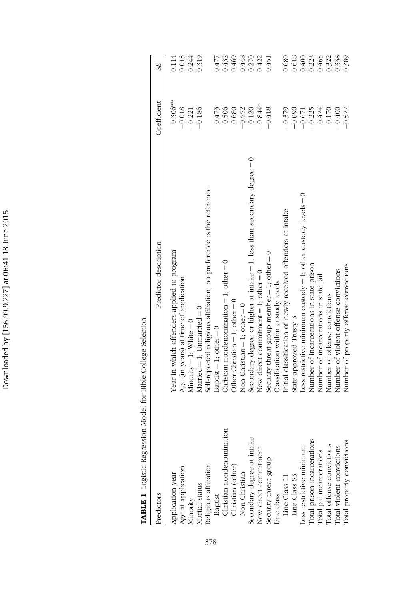| Predictors                                             | Predictor description                                                         | Coefficient | SE <sub></sub> |
|--------------------------------------------------------|-------------------------------------------------------------------------------|-------------|----------------|
| Application year                                       | Year in which offenders applied to program                                    | $0.306**$   | 0.114          |
| Age at application                                     | Age (in years) at time of application                                         | $-0.018$    | 0.015          |
| Minority                                               | $Minority = 1$ ; White $= 0$                                                  | $-0.221$    | 0.244          |
| Marital status                                         | $M$ arried = 1; Unmarried = $0$                                               | $-0.186$    | 0.319          |
| Religious affiliation                                  | Self-reported religious affiliation; no preference is the reference           |             |                |
| Baptist                                                | Baptist = 1; other = $0$                                                      | 0.473       | 0.477          |
| Christian nondenomination                              | Christian nondenomination $= 1$ ; other $= 0$                                 | 0.506       | 0.432          |
| Christian (other)                                      | Other Christian $= 1$ ; other $= 0$                                           | 0.680       | 0.469          |
| Non-Christian                                          | Non-Christian $= 1$ ; other $= 0$                                             | $-0.552$    | 0.448          |
| Secondary degree at intake                             | Secondary degree or higher at intake $= 1$ ; less than secondary degree $= 0$ | 0.120       | 0.270          |
| New direct commitment                                  | New direct commitment $= 1$ ; other $= 0$                                     | $-0.844*$   | 0.422          |
| Security threat group                                  | Security threat group member $= 1$ ; other $= 0$                              | $-0.418$    | 0.451          |
| Line class                                             | Classification within custody levels                                          |             |                |
| Line Class L1                                          | Initial classification of newly received offenders at intake                  | $-0.379$    | 0.680          |
| Line Class S3                                          | State approved Trusty 3                                                       | $-0.090$    | 0.618          |
| Less restrictive minimum                               | Less restrictive minimum custody = 1; other custody levels = $0$              | $-0.671$    | 0.400          |
| Total prison incarcerations                            | Number of incarcerations in state prison                                      | $-0.225$    | 0.223<br>0.465 |
|                                                        | Number of incarcerations in state jail                                        | 0.424       |                |
| Total jail incarcerations<br>Total offense convictions | Number of offense convictions                                                 | 0.170       | 0.322          |
| Total violent convictions                              | Number of violent offense convictions                                         | $-0.400$    | 0.338          |
| Total property convictions                             | Number of property offense convictions                                        | $-0.527$    | 0.389          |

| I<br>I<br>J<br>j<br>I<br>ׇ֚֘<br>ţ<br>l   |
|------------------------------------------|
| $\overline{a}$<br>l<br>ı<br>)<br>q       |
|                                          |
| l<br>I                                   |
| $\ddot{\phantom{a}}$<br>J<br>i<br>)<br>l |
| I<br>ì<br>j<br>j<br>I<br>١               |
|                                          |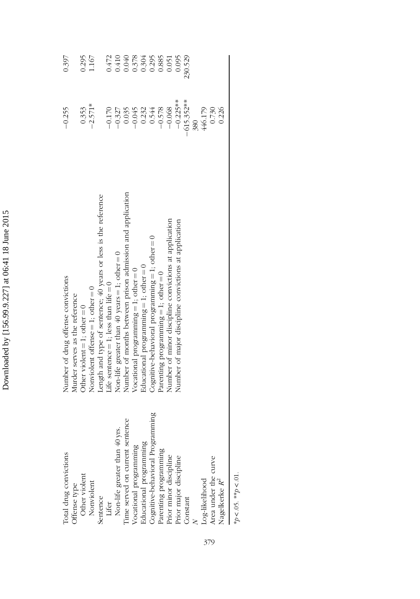| Total drug convictions           | Number of drug offense convictions                                | $-0.255$      | 0.397   |
|----------------------------------|-------------------------------------------------------------------|---------------|---------|
| Other violent<br>Offense type    | Murder serves as the reference<br>Other violent = $1$ ; other = 0 | 0.353         | 0.295   |
| Nonviolent                       | Nonviolent offense $= 1$ ; other $= 0$                            | $-2.571*$     | 1.167   |
| Sentence                         | Length and type of sentence; 40 years or less is the reference    |               |         |
| Lifer                            | Life sentence $= 1$ ; less than life $= 0$                        | $-0.170$      | 0.472   |
| Non-life greater than 40 yrs     | Non-life greater than 40 years = 1; other = 0                     | $-0.327$      | 0.410   |
| l'ime served on current sentence | Number of months between prison admission and application         | 0.035         | 0.040   |
| Vocational programming           | Vocational programming = 1; other = $0$                           | $-0.045$      | 0.378   |
| ducational programming           | Educational programming $= 1$ ; other $= 0$                       | 0.232         | 0.304   |
| Cognitive-behavioral Programming | Cognitive-behavioral programming $= 1$ ; other $= 0$              | 0.544         | 0.295   |
| Parenting programming            | Parenting programming $= 1$ ; other $= 0$                         | $-0.578$      | 0.885   |
| <i>Prior</i> minor discipline    | Number of minor discipline convictions at application             | $-0.068$      | 0.051   |
| Prior major discipline           | Number of major discipline convictions at application             | $-0.225***$   | 0.095   |
| Constant                         |                                                                   | $-615.352***$ | 230.529 |
|                                  |                                                                   | 380           |         |
| Log-likelihood                   |                                                                   | 446.179       |         |
| Area under the curve             |                                                                   | 0.730         |         |
| Nagelkerke $R^2$                 |                                                                   | 0.226         |         |
|                                  |                                                                   |               |         |

 $* p < .05.$   $** p < .01.$ \* $p < 0.05$ . \*\* $p < 0.1$ .

379

# Downloaded by [156.99.9.227] at 06:41 18 June 2015 Downloaded by [156.99.9.227] at 06:41 18 June 2015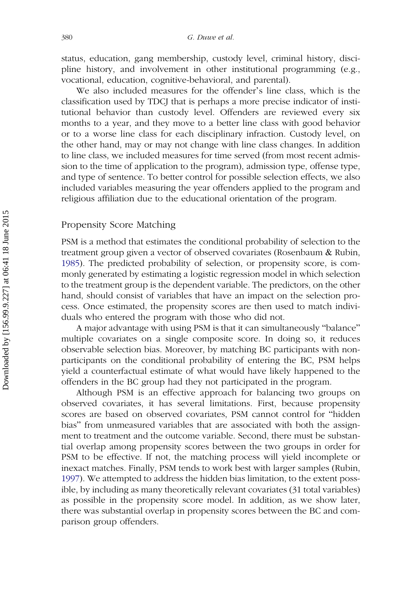status, education, gang membership, custody level, criminal history, discipline history, and involvement in other institutional programming (e.g., vocational, education, cognitive-behavioral, and parental).

We also included measures for the offender's line class, which is the classification used by TDCJ that is perhaps a more precise indicator of institutional behavior than custody level. Offenders are reviewed every six months to a year, and they move to a better line class with good behavior or to a worse line class for each disciplinary infraction. Custody level, on the other hand, may or may not change with line class changes. In addition to line class, we included measures for time served (from most recent admission to the time of application to the program), admission type, offense type, and type of sentence. To better control for possible selection effects, we also included variables measuring the year offenders applied to the program and religious affiliation due to the educational orientation of the program.

#### Propensity Score Matching

PSM is a method that estimates the conditional probability of selection to the treatment group given a vector of observed covariates (Rosenbaum & Rubin, [1985](#page-20-0)). The predicted probability of selection, or propensity score, is commonly generated by estimating a logistic regression model in which selection to the treatment group is the dependent variable. The predictors, on the other hand, should consist of variables that have an impact on the selection process. Once estimated, the propensity scores are then used to match individuals who entered the program with those who did not.

A major advantage with using PSM is that it can simultaneously "balance" multiple covariates on a single composite score. In doing so, it reduces observable selection bias. Moreover, by matching BC participants with nonparticipants on the conditional probability of entering the BC, PSM helps yield a counterfactual estimate of what would have likely happened to the offenders in the BC group had they not participated in the program.

Although PSM is an effective approach for balancing two groups on observed covariates, it has several limitations. First, because propensity scores are based on observed covariates, PSM cannot control for "hidden bias" from unmeasured variables that are associated with both the assignment to treatment and the outcome variable. Second, there must be substantial overlap among propensity scores between the two groups in order for PSM to be effective. If not, the matching process will yield incomplete or inexact matches. Finally, PSM tends to work best with larger samples (Rubin, [1997](#page-21-0)). We attempted to address the hidden bias limitation, to the extent possible, by including as many theoretically relevant covariates (31 total variables) as possible in the propensity score model. In addition, as we show later, there was substantial overlap in propensity scores between the BC and comparison group offenders.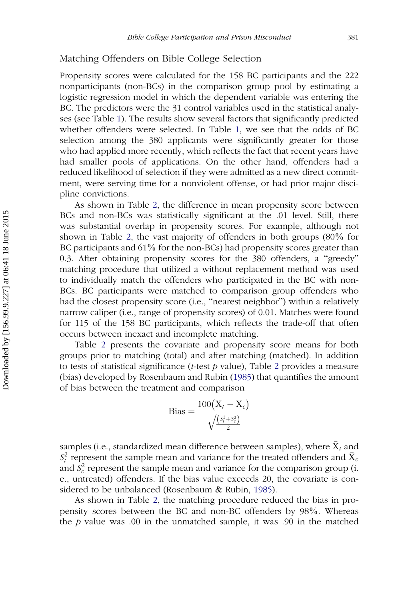#### Matching Offenders on Bible College Selection

Propensity scores were calculated for the 158 BC participants and the 222 nonparticipants (non-BCs) in the comparison group pool by estimating a logistic regression model in which the dependent variable was entering the BC. The predictors were the 31 control variables used in the statistical analyses (see Table 1). The results show several factors that significantly predicted whether offenders were selected. In Table 1, we see that the odds of BC selection among the 380 applicants were significantly greater for those who had applied more recently, which reflects the fact that recent years have had smaller pools of applications. On the other hand, offenders had a reduced likelihood of selection if they were admitted as a new direct commitment, were serving time for a nonviolent offense, or had prior major discipline convictions.

As shown in Table 2, the difference in mean propensity score between BCs and non-BCs was statistically significant at the .01 level. Still, there was substantial overlap in propensity scores. For example, although not shown in Table 2, the vast majority of offenders in both groups (80% for BC participants and 61% for the non-BCs) had propensity scores greater than 0.3. After obtaining propensity scores for the 380 offenders, a "greedy" matching procedure that utilized a without replacement method was used to individually match the offenders who participated in the BC with non-BCs. BC participants were matched to comparison group offenders who had the closest propensity score (i.e., "nearest neighbor") within a relatively narrow caliper (i.e., range of propensity scores) of 0.01. Matches were found for 115 of the 158 BC participants, which reflects the trade-off that often occurs between inexact and incomplete matching.

Table 2 presents the covariate and propensity score means for both groups prior to matching (total) and after matching (matched). In addition to tests of statistical significance ( $t$ -test  $p$  value), Table 2 provides a measure (bias) developed by Rosenbaum and Rubin ([1985](#page-20-0)) that quantifies the amount of bias between the treatment and comparison

$$
\text{Bias} = \frac{100(\overline{X}_t - \overline{X}_c)}{\sqrt{\frac{(S_t^2 + S_c^2)}{2}}}
$$

samples (i.e., standardized mean difference between samples), where  $\bar{\mathrm{X}}_t$  and  $S_t^2$  represent the sample mean and variance for the treated offenders and  $\bar{X}_c$ and  $S_c^2$  represent the sample mean and variance for the comparison group (i. e., untreated) offenders. If the bias value exceeds 20, the covariate is considered to be unbalanced (Rosenbaum  $\&$  Rubin, [1985](#page-20-0)).

As shown in Table 2, the matching procedure reduced the bias in propensity scores between the BC and non-BC offenders by 98%. Whereas the  $p$  value was .00 in the unmatched sample, it was .90 in the matched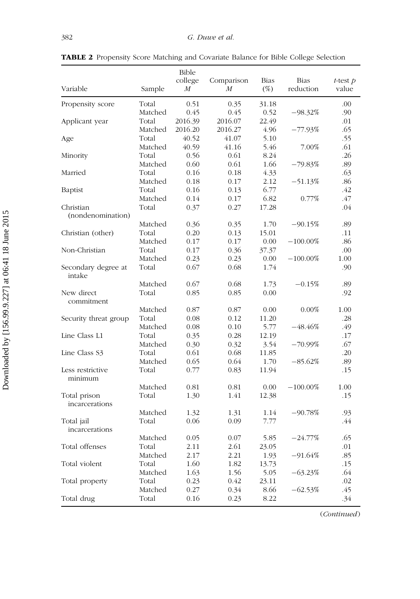| Variable                       | Sample  | Bible<br>college<br>М | Comparison<br>М | Bias<br>$(\%)$ | <b>Bias</b><br>reduction | $t$ -test $p$<br>value |
|--------------------------------|---------|-----------------------|-----------------|----------------|--------------------------|------------------------|
| Propensity score               | Total   | 0.51                  | 0.35            | 31.18          |                          | .00                    |
|                                | Matched | 0.45                  | 0.45            | 0.52           | $-98.32%$                | .90                    |
| Applicant year                 | Total   | 2016.39               | 2016.07         | 22.49          |                          | .01                    |
|                                | Matched | 2016.20               | 2016.27         | 4.96           | $-77.93%$                | .65                    |
| Age                            | Total   | 40.52                 | 41.07           | 5.10           |                          | .55                    |
|                                | Matched | 40.59                 | 41.16           | 5.46           | 7.00%                    | .61                    |
| Minority                       | Total   | 0.56                  | 0.61            | 8.24           |                          | .26                    |
|                                | Matched | 0.60                  | 0.61            | 1.66           | $-79.83%$                | .89                    |
| Married                        | Total   | 0.16                  | 0.18            | 4.33           |                          | .63                    |
|                                | Matched | 0.18                  | 0.17            | 2.12           | $-51.13\%$               | .86                    |
| <b>Baptist</b>                 | Total   | 0.16                  | 0.13            | 6.77           |                          | .42                    |
|                                | Matched | 0.14                  | 0.17            | 6.82           | 0.77%                    | .47                    |
| Christian<br>(nondenomination) | Total   | 0.37                  | 0.27            | 17.28          |                          | .04                    |
|                                | Matched | 0.36                  | 0.35            | 1.70           | $-90.15%$                | .89                    |
| Christian (other)              | Total   | 0.20                  | 0.13            | 15.01          |                          | .11                    |
|                                | Matched | 0.17                  | 0.17            | 0.00           | $-100.00\%$              | .86                    |
| Non-Christian                  | Total   | 0.17                  | 0.36            | 37.37          |                          | .00                    |
|                                | Matched | 0.23                  | 0.23            | 0.00           | $-100.00\%$              | 1.00                   |
| Secondary degree at<br>intake  | Total   | 0.67                  | 0.68            | 1.74           |                          | .90                    |
|                                | Matched | 0.67                  | 0.68            | 1.73           | $-0.15%$                 | .89                    |
| New direct<br>commitment       | Total   | 0.85                  | 0.85            | 0.00           |                          | .92                    |
|                                | Matched | 0.87                  | 0.87            | 0.00           | $0.00\%$                 | 1.00                   |
| Security threat group          | Total   | 0.08                  | 0.12            | 11.20          |                          | .28                    |
|                                | Matched | 0.08                  | 0.10            | 5.77           | $-48.46%$                | .49                    |
| Line Class L1                  | Total   | 0.35                  | 0.28            | 12.19          |                          | .17                    |
|                                | Matched | 0.30                  | 0.32            | 3.54           | $-70.99%$                | .67                    |
| Line Class S3                  | Total   | 0.61                  | 0.68            | 11.85          |                          | .20                    |
|                                | Matched | 0.65                  | 0.64            | 1.70           | $-85.62%$                | .89                    |
| Less restrictive<br>minimum    | Total   | 0.77                  | 0.83            | 11.94          |                          | .15                    |
|                                | Matched | 0.81                  | 0.81            | 0.00           | $-100.00\%$              | 1.00                   |
| Total prison<br>incarcerations | Total   | 1.30                  | 1.41            | 12.38          |                          | .15                    |
|                                | Matched | 1.32                  | 1.31            | 1.14           | $-90.78%$                | .93                    |
| Total jail<br>incarcerations   | Total   | 0.06                  | 0.09            | 7.77           |                          | .44                    |
|                                | Matched | 0.05                  | 0.07            | 5.85           | $-24.77\%$               | .65                    |
| Total offenses                 | Total   | 2.11                  | 2.61            | 23.05          |                          | .01                    |
|                                | Matched | 2.17                  | 2.21            | 1.93           | $-91.64%$                | .85                    |
| Total violent                  | Total   | 1.60                  | 1.82            | 13.73          |                          | .15                    |
|                                | Matched | 1.63                  | 1.56            | 5.05           | $-63.23%$                | .64                    |
| Total property                 | Total   | 0.23                  | 0.42            | 23.11          |                          | .02                    |
|                                | Matched | 0.27                  | 0.34            | 8.66           | $-62.53%$                | .45                    |
| Total drug                     | Total   | 0.16                  | 0.23            | 8.22           |                          | .34                    |

TABLE 2 Propensity Score Matching and Covariate Balance for Bible College Selection

(Continued)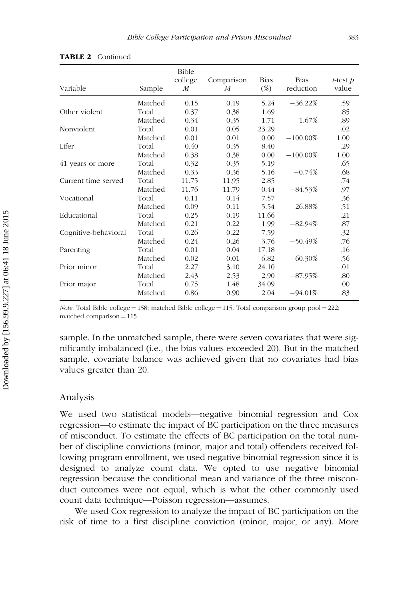| Variable             | Sample  | <b>Bible</b><br>college<br>M | Comparison<br>М | Bias<br>$(\%)$ | <b>Bias</b><br>reduction | $t$ -test $p$<br>value |
|----------------------|---------|------------------------------|-----------------|----------------|--------------------------|------------------------|
|                      | Matched | 0.15                         | 0.19            | 5.24           | $-36.22%$                | .59                    |
| Other violent        | Total   | 0.37                         | 0.38            | 1.69           |                          | .85                    |
|                      | Matched | 0.34                         | 0.35            | 1.71           | 1.67%                    | .89                    |
| Nonviolent           | Total   | 0.01                         | 0.05            | 23.29          |                          | .02                    |
|                      | Matched | 0.01                         | 0.01            | 0.00           | $-100.00\%$              | 1.00                   |
| Lifer                | Total   | 0.40                         | 0.35            | 8.40           |                          | .29                    |
|                      | Matched | 0.38                         | 0.38            | 0.00           | $-100.00\%$              | 1.00                   |
| 41 years or more     | Total   | 0.32                         | 0.35            | 5.19           |                          | .65                    |
|                      | Matched | 0.33                         | 0.36            | 5.16           | $-0.74%$                 | .68                    |
| Current time served  | Total   | 11.75                        | 11.95           | 2.85           |                          | .74                    |
|                      | Matched | 11.76                        | 11.79           | 0.44           | $-84.53\%$               | .97                    |
| Vocational           | Total   | 0.11                         | 0.14            | 7.57           |                          | .36                    |
|                      | Matched | 0.09                         | 0.11            | 5.54           | $-26.88%$                | .51                    |
| Educational          | Total   | 0.25                         | 0.19            | 11.66          |                          | .21                    |
|                      | Matched | 0.21                         | 0.22            | 1.99           | -82.94%                  | .87                    |
| Cognitive-behavioral | Total   | 0.26                         | 0.22            | 7.59           |                          | .32                    |
|                      | Matched | 0.24                         | 0.26            | 3.76           | $-50.49%$                | .76                    |
| Parenting            | Total   | 0.01                         | 0.04            | 17.18          |                          | .16                    |
|                      | Matched | 0.02                         | 0.01            | 6.82           | $-60.30\%$               | .56                    |
| Prior minor          | Total   | 2.27                         | 3.10            | 24.10          |                          | .01                    |
|                      | Matched | 2.43                         | 2.53            | 2.90           | $-87.95\%$               | .80                    |
| Prior major          | Total   | 0.75                         | 1.48            | 34.09          |                          | .00                    |
|                      | Matched | 0.86                         | 0.90            | 2.04           | $-94.01%$                | .83                    |

#### TABLE 2 Continued

*Note.* Total Bible college = 158; matched Bible college = 115. Total comparison group pool = 222; matched comparison  $=$  115.

sample. In the unmatched sample, there were seven covariates that were significantly imbalanced (i.e., the bias values exceeded 20). But in the matched sample, covariate balance was achieved given that no covariates had bias values greater than 20.

#### Analysis

We used two statistical models—negative binomial regression and Cox regression—to estimate the impact of BC participation on the three measures of misconduct. To estimate the effects of BC participation on the total number of discipline convictions (minor, major and total) offenders received following program enrollment, we used negative binomial regression since it is designed to analyze count data. We opted to use negative binomial regression because the conditional mean and variance of the three misconduct outcomes were not equal, which is what the other commonly used count data technique—Poisson regression—assumes.

We used Cox regression to analyze the impact of BC participation on the risk of time to a first discipline conviction (minor, major, or any). More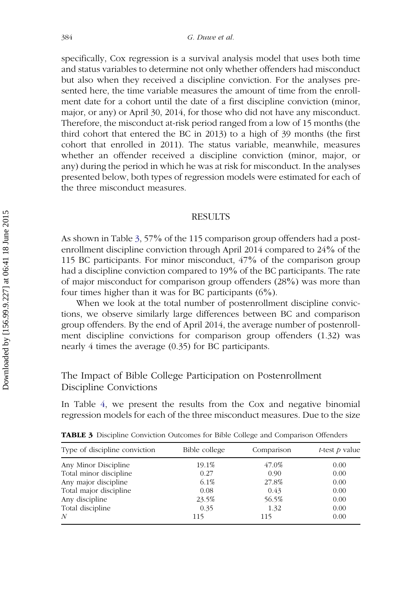specifically, Cox regression is a survival analysis model that uses both time and status variables to determine not only whether offenders had misconduct but also when they received a discipline conviction. For the analyses presented here, the time variable measures the amount of time from the enrollment date for a cohort until the date of a first discipline conviction (minor, major, or any) or April 30, 2014, for those who did not have any misconduct. Therefore, the misconduct at-risk period ranged from a low of 15 months (the third cohort that entered the BC in 2013) to a high of 39 months (the first cohort that enrolled in 2011). The status variable, meanwhile, measures whether an offender received a discipline conviction (minor, major, or any) during the period in which he was at risk for misconduct. In the analyses presented below, both types of regression models were estimated for each of the three misconduct measures.

#### RESULTS

As shown in Table 3, 57% of the 115 comparison group offenders had a postenrollment discipline conviction through April 2014 compared to 24% of the 115 BC participants. For minor misconduct, 47% of the comparison group had a discipline conviction compared to 19% of the BC participants. The rate of major misconduct for comparison group offenders (28%) was more than four times higher than it was for BC participants (6%).

When we look at the total number of postenrollment discipline convictions, we observe similarly large differences between BC and comparison group offenders. By the end of April 2014, the average number of postenrollment discipline convictions for comparison group offenders (1.32) was nearly 4 times the average (0.35) for BC participants.

The Impact of Bible College Participation on Postenrollment Discipline Convictions

In Table 4, we present the results from the Cox and negative binomial regression models for each of the three misconduct measures. Due to the size

| Type of discipline conviction | Bible college | Comparison | <i>t</i> -test $p$ value |  |
|-------------------------------|---------------|------------|--------------------------|--|
| Any Minor Discipline          | 19.1%         | 47.0%      | 0.00                     |  |
| Total minor discipline        | 0.27          | 0.90       | 0.00                     |  |
| Any major discipline          | $6.1\%$       | 27.8%      | 0.00                     |  |
| Total major discipline        | 0.08          | 0.43       | 0.00                     |  |
| Any discipline                | 23.5%         | 56.5%      | 0.00                     |  |
| Total discipline              | 0.35          | 1.32       | 0.00                     |  |
| N                             | 115           | 115        | 0.00                     |  |

TABLE 3 Discipline Conviction Outcomes for Bible College and Comparison Offenders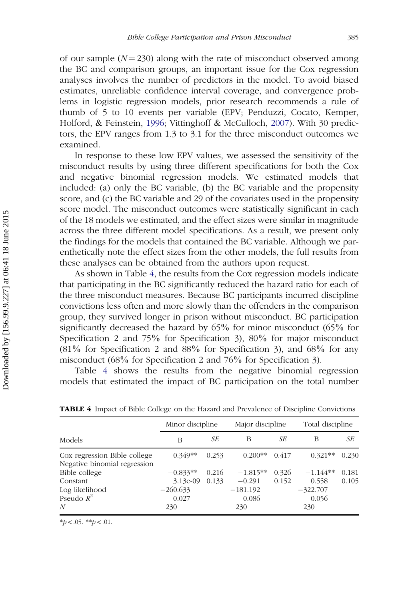of our sample  $(N = 230)$  along with the rate of misconduct observed among the BC and comparison groups, an important issue for the Cox regression analyses involves the number of predictors in the model. To avoid biased estimates, unreliable confidence interval coverage, and convergence problems in logistic regression models, prior research recommends a rule of thumb of 5 to 10 events per variable (EPV; Penduzzi, Cocato, Kemper, Holford, & Feinstein, [1996](#page-20-0); Vittinghoff & McCulloch, [2007](#page-21-0)). With 30 predictors, the EPV ranges from 1.3 to 3.1 for the three misconduct outcomes we examined.

In response to these low EPV values, we assessed the sensitivity of the misconduct results by using three different specifications for both the Cox and negative binomial regression models. We estimated models that included: (a) only the BC variable, (b) the BC variable and the propensity score, and (c) the BC variable and 29 of the covariates used in the propensity score model. The misconduct outcomes were statistically significant in each of the 18 models we estimated, and the effect sizes were similar in magnitude across the three different model specifications. As a result, we present only the findings for the models that contained the BC variable. Although we parenthetically note the effect sizes from the other models, the full results from these analyses can be obtained from the authors upon request.

As shown in Table 4, the results from the Cox regression models indicate that participating in the BC significantly reduced the hazard ratio for each of the three misconduct measures. Because BC participants incurred discipline convictions less often and more slowly than the offenders in the comparison group, they survived longer in prison without misconduct. BC participation significantly decreased the hazard by 65% for minor misconduct (65% for Specification 2 and 75% for Specification 3), 80% for major misconduct (81% for Specification 2 and 88% for Specification 3), and 68% for any misconduct (68% for Specification 2 and 76% for Specification 3).

Table 4 shows the results from the negative binomial regression models that estimated the impact of BC participation on the total number

|                                                              | Minor discipline |       | Major discipline |       | Total discipline |       |
|--------------------------------------------------------------|------------------|-------|------------------|-------|------------------|-------|
| Models                                                       | В                | SЕ    | B                | SΕ    | В                | SЕ    |
| Cox regression Bible college<br>Negative binomial regression | $0.349**$        | 0.253 | $0.200**$        | 0.417 | $0.321**$        | 0.230 |
| Bible college                                                | $-0.833**$       | 0.216 | $-1.815**$       | 0.326 | $-1.144**$       | 0.181 |
| Constant                                                     | $3.13e-09$       | 0.133 | $-0.291$         | 0.152 | 0.558            | 0.105 |
| Log likelihood                                               | $-260.633$       |       | $-181.192$       |       | $-322.707$       |       |
| Pseudo $R^2$                                                 | 0.027            |       | 0.086            |       | 0.056            |       |
| N                                                            | 230              |       | 230              |       | 230              |       |

TABLE 4 Impact of Bible College on the Hazard and Prevalence of Discipline Convictions

 $*p$  < .05.  $**p$  < .01.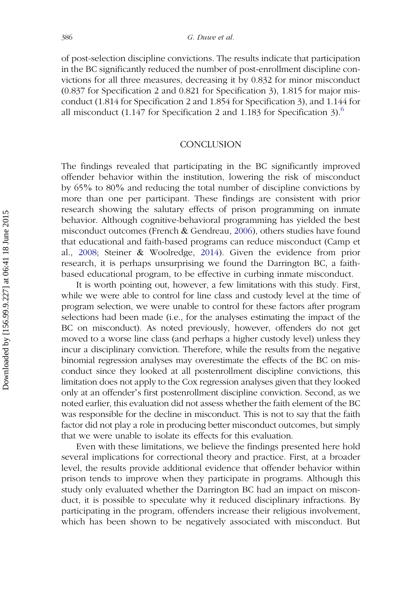of post-selection discipline convictions. The results indicate that participation in the BC significantly reduced the number of post-enrollment discipline convictions for all three measures, decreasing it by 0.832 for minor misconduct (0.837 for Specification 2 and 0.821 for Specification 3), 1.815 for major misconduct (1.814 for Specification 2 and 1.854 for Specification 3), and 1.144 for all misconduct (1.147 for Specification 2 and 1.183 for Specification 3).

#### **CONCLUSION**

The findings revealed that participating in the BC significantly improved offender behavior within the institution, lowering the risk of misconduct by 65% to 80% and reducing the total number of discipline convictions by more than one per participant. These findings are consistent with prior research showing the salutary effects of prison programming on inmate behavior. Although cognitive-behavioral programming has yielded the best misconduct outcomes (French & Gendreau, [2006](#page-19-0)), others studies have found that educational and faith-based programs can reduce misconduct (Camp et al., [2008;](#page-19-0) Steiner & Woolredge, [2014](#page-21-0)). Given the evidence from prior research, it is perhaps unsurprising we found the Darrington BC, a faithbased educational program, to be effective in curbing inmate misconduct.

It is worth pointing out, however, a few limitations with this study. First, while we were able to control for line class and custody level at the time of program selection, we were unable to control for these factors after program selections had been made (i.e., for the analyses estimating the impact of the BC on misconduct). As noted previously, however, offenders do not get moved to a worse line class (and perhaps a higher custody level) unless they incur a disciplinary conviction. Therefore, while the results from the negative binomial regression analyses may overestimate the effects of the BC on misconduct since they looked at all postenrollment discipline convictions, this limitation does not apply to the Cox regression analyses given that they looked only at an offender's first postenrollment discipline conviction. Second, as we noted earlier, this evaluation did not assess whether the faith element of the BC was responsible for the decline in misconduct. This is not to say that the faith factor did not play a role in producing better misconduct outcomes, but simply that we were unable to isolate its effects for this evaluation.

Even with these limitations, we believe the findings presented here hold several implications for correctional theory and practice. First, at a broader level, the results provide additional evidence that offender behavior within prison tends to improve when they participate in programs. Although this study only evaluated whether the Darrington BC had an impact on misconduct, it is possible to speculate why it reduced disciplinary infractions. By participating in the program, offenders increase their religious involvement, which has been shown to be negatively associated with misconduct. But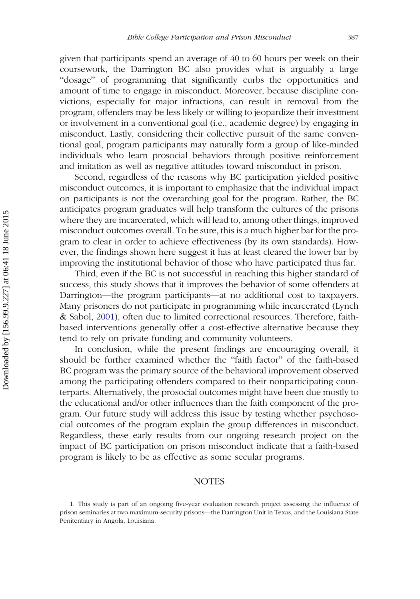given that participants spend an average of 40 to 60 hours per week on their coursework, the Darrington BC also provides what is arguably a large "dosage" of programming that significantly curbs the opportunities and amount of time to engage in misconduct. Moreover, because discipline convictions, especially for major infractions, can result in removal from the program, offenders may be less likely or willing to jeopardize their investment or involvement in a conventional goal (i.e., academic degree) by engaging in misconduct. Lastly, considering their collective pursuit of the same conventional goal, program participants may naturally form a group of like-minded individuals who learn prosocial behaviors through positive reinforcement and imitation as well as negative attitudes toward misconduct in prison.

Second, regardless of the reasons why BC participation yielded positive misconduct outcomes, it is important to emphasize that the individual impact on participants is not the overarching goal for the program. Rather, the BC anticipates program graduates will help transform the cultures of the prisons where they are incarcerated, which will lead to, among other things, improved misconduct outcomes overall. To be sure, this is a much higher bar for the program to clear in order to achieve effectiveness (by its own standards). However, the findings shown here suggest it has at least cleared the lower bar by improving the institutional behavior of those who have participated thus far.

Third, even if the BC is not successful in reaching this higher standard of success, this study shows that it improves the behavior of some offenders at Darrington—the program participants—at no additional cost to taxpayers. Many prisoners do not participate in programming while incarcerated (Lynch & Sabol, [2001](#page-20-0)), often due to limited correctional resources. Therefore, faithbased interventions generally offer a cost-effective alternative because they tend to rely on private funding and community volunteers.

In conclusion, while the present findings are encouraging overall, it should be further examined whether the "faith factor" of the faith-based BC program was the primary source of the behavioral improvement observed among the participating offenders compared to their nonparticipating counterparts. Alternatively, the prosocial outcomes might have been due mostly to the educational and/or other influences than the faith component of the program. Our future study will address this issue by testing whether psychosocial outcomes of the program explain the group differences in misconduct. Regardless, these early results from our ongoing research project on the impact of BC participation on prison misconduct indicate that a faith-based program is likely to be as effective as some secular programs.

#### **NOTES**

<sup>1.</sup> This study is part of an ongoing five-year evaluation research project assessing the influence of prison seminaries at two maximum-security prisons—the Darrington Unit in Texas, and the Louisiana State Penitentiary in Angola, Louisiana.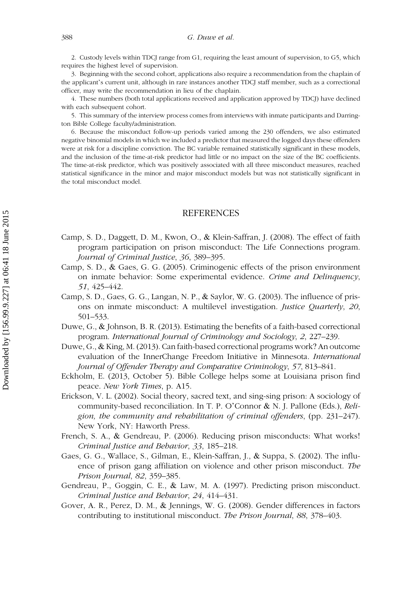<span id="page-19-0"></span>2. Custody levels within TDCJ range from G1, requiring the least amount of supervision, to G5, which requires the highest level of supervision.

3. Beginning with the second cohort, applications also require a recommendation from the chaplain of the applicant's current unit, although in rare instances another TDCJ staff member, such as a correctional officer, may write the recommendation in lieu of the chaplain.

4. These numbers (both total applications received and application approved by TDCJ) have declined with each subsequent cohort.

5. This summary of the interview process comes from interviews with inmate participants and Darrington Bible College faculty/administration.

6. Because the misconduct follow-up periods varied among the 230 offenders, we also estimated negative binomial models in which we included a predictor that measured the logged days these offenders were at risk for a discipline conviction. The BC variable remained statistically significant in these models, and the inclusion of the time-at-risk predictor had little or no impact on the size of the BC coefficients. The time-at-risk predictor, which was positively associated with all three misconduct measures, reached statistical significance in the minor and major misconduct models but was not statistically significant in the total misconduct model.

#### REFERENCES

- Camp, S. D., Daggett, D. M., Kwon, O., & Klein-Saffran, J. (2008). The effect of faith program participation on prison misconduct: The Life Connections program. Journal of Criminal Justice, 36, 389–395.
- Camp, S. D., & Gaes, G. G. (2005). Criminogenic effects of the prison environment on inmate behavior: Some experimental evidence. Crime and Delinquency, 51, 425–442.
- Camp, S. D., Gaes, G. G., Langan, N. P., & Saylor, W. G. (2003). The influence of prisons on inmate misconduct: A multilevel investigation. Justice Quarterly, 20, 501–533.
- Duwe, G., & Johnson, B. R. (2013). Estimating the benefits of a faith-based correctional program. International Journal of Criminology and Sociology, 2, 227–239.
- Duwe, G., & King, M. (2013). Can faith-based correctional programs work? An outcome evaluation of the InnerChange Freedom Initiative in Minnesota. International Journal of Offender Therapy and Comparative Criminology, 57, 813–841.
- Eckholm, E. (2013, October 5). Bible College helps some at Louisiana prison find peace. New York Times, p. A15.
- Erickson, V. L. (2002). Social theory, sacred text, and sing-sing prison: A sociology of community-based reconciliation. In T. P. O'Connor & N. J. Pallone (Eds.), Religion, the community and rehabilitation of criminal offenders, (pp. 231–247). New York, NY: Haworth Press.
- French, S. A., & Gendreau, P. (2006). Reducing prison misconducts: What works! Criminal Justice and Behavior, 33, 185–218.
- Gaes, G. G., Wallace, S., Gilman, E., Klein-Saffran, J., & Suppa, S. (2002). The influence of prison gang affiliation on violence and other prison misconduct. The Prison Journal, 82, 359–385.
- Gendreau, P., Goggin, C. E., & Law, M. A. (1997). Predicting prison misconduct. Criminal Justice and Behavior, 24, 414–431.
- Gover, A. R., Perez, D. M., & Jennings, W. G. (2008). Gender differences in factors contributing to institutional misconduct. The Prison Journal, 88, 378–403.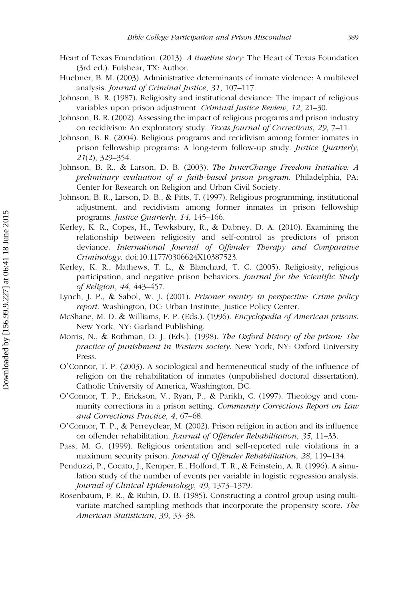- <span id="page-20-0"></span>Heart of Texas Foundation. (2013). A timeline story: The Heart of Texas Foundation (3rd ed.). Fulshear, TX: Author.
- Huebner, B. M. (2003). Administrative determinants of inmate violence: A multilevel analysis. Journal of Criminal Justice, 31, 107–117.
- Johnson, B. R. (1987). Religiosity and institutional deviance: The impact of religious variables upon prison adjustment. Criminal Justice Review, 12, 21–30.
- Johnson, B. R. (2002). Assessing the impact of religious programs and prison industry on recidivism: An exploratory study. Texas Journal of Corrections, 29, 7–11.
- Johnson, B. R. (2004). Religious programs and recidivism among former inmates in prison fellowship programs: A long-term follow-up study. Justice Quarterly, 21(2), 329–354.
- Johnson, B. R., & Larson, D. B. (2003). The InnerChange Freedom Initiative: A preliminary evaluation of a faith-based prison program. Philadelphia, PA: Center for Research on Religion and Urban Civil Society.
- Johnson, B. R., Larson, D. B., & Pitts, T. (1997). Religious programming, institutional adjustment, and recidivism among former inmates in prison fellowship programs. Justice Quarterly, 14, 145–166.
- Kerley, K. R., Copes, H., Tewksbury, R., & Dabney, D. A. (2010). Examining the relationship between religiosity and self-control as predictors of prison deviance. International Journal of Offender Therapy and Comparative Criminology. doi:10.1177/0306624X10387523.
- Kerley, K. R., Mathews, T. L., & Blanchard, T. C. (2005). Religiosity, religious participation, and negative prison behaviors. Journal for the Scientific Study of Religion, 44, 443–457.
- Lynch, J. P., & Sabol, W. J. (2001). Prisoner reentry in perspective: Crime policy report. Washington, DC: Urban Institute, Justice Policy Center.
- McShane, M. D. & Williams, F. P. (Eds.). (1996). Encyclopedia of American prisons. New York, NY: Garland Publishing.
- Morris, N., & Rothman, D. J. (Eds.). (1998). The Oxford history of the prison: The practice of punishment in Western society. New York, NY: Oxford University Press.
- O'Connor, T. P. (2003). A sociological and hermeneutical study of the influence of religion on the rehabilitation of inmates (unpublished doctoral dissertation). Catholic University of America, Washington, DC.
- O'Connor, T. P., Erickson, V., Ryan, P., & Parikh, C. (1997). Theology and community corrections in a prison setting. Community Corrections Report on Law and Corrections Practice, 4, 67–68.
- O'Connor, T. P., & Perreyclear, M. (2002). Prison religion in action and its influence on offender rehabilitation. Journal of Offender Rehabilitation, 35, 11–33.
- Pass, M. G. (1999). Religious orientation and self-reported rule violations in a maximum security prison. Journal of Offender Rehabilitation, 28, 119–134.
- Penduzzi, P., Cocato, J., Kemper, E., Holford, T. R., & Feinstein, A. R. (1996). A simulation study of the number of events per variable in logistic regression analysis. Journal of Clinical Epidemiology, 49, 1373–1379.
- Rosenbaum, P. R., & Rubin, D. B. (1985). Constructing a control group using multivariate matched sampling methods that incorporate the propensity score. The American Statistician, 39, 33–38.